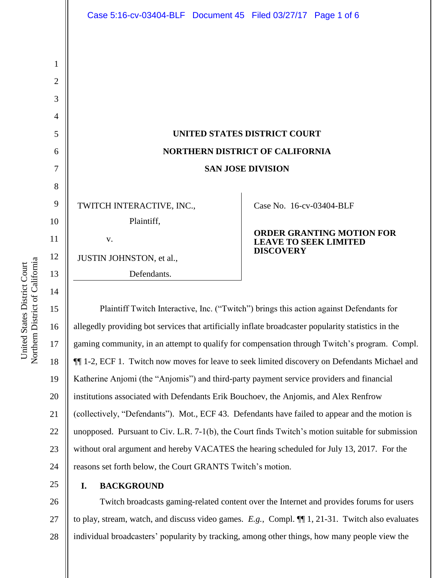| Case 5:16-cv-03404-BLF Document 45 Filed 03/27/17 Page 1 of 6 |  |                                                                               |  |
|---------------------------------------------------------------|--|-------------------------------------------------------------------------------|--|
|                                                               |  |                                                                               |  |
|                                                               |  |                                                                               |  |
|                                                               |  |                                                                               |  |
|                                                               |  |                                                                               |  |
|                                                               |  |                                                                               |  |
|                                                               |  |                                                                               |  |
| <b>UNITED STATES DISTRICT COURT</b>                           |  |                                                                               |  |
| NORTHERN DISTRICT OF CALIFORNIA                               |  |                                                                               |  |
| <b>SAN JOSE DIVISION</b>                                      |  |                                                                               |  |
|                                                               |  |                                                                               |  |
| TWITCH INTERACTIVE, INC.,                                     |  | Case No. 16-cv-03404-BLF                                                      |  |
| Plaintiff,                                                    |  |                                                                               |  |
| V.                                                            |  | ORDER GRANTING MOTION FOR<br><b>LEAVE TO SEEK LIMITED</b><br><b>DISCOVERY</b> |  |
| JUSTIN JOHNSTON, et al.,                                      |  |                                                                               |  |
| Defendants.                                                   |  |                                                                               |  |
|                                                               |  |                                                                               |  |

15 16 17 18 19 20 21 22 23 24 Plaintiff Twitch Interactive, Inc. ("Twitch") brings this action against Defendants for allegedly providing bot services that artificially inflate broadcaster popularity statistics in the gaming community, in an attempt to qualify for compensation through Twitch's program. Compl. ¶¶ 1-2, ECF 1. Twitch now moves for leave to seek limited discovery on Defendants Michael and Katherine Anjomi (the "Anjomis") and third-party payment service providers and financial institutions associated with Defendants Erik Bouchoev, the Anjomis, and Alex Renfrow (collectively, "Defendants"). Mot., ECF 43. Defendants have failed to appear and the motion is unopposed. Pursuant to Civ. L.R. 7-1(b), the Court finds Twitch's motion suitable for submission without oral argument and hereby VACATES the hearing scheduled for July 13, 2017. For the reasons set forth below, the Court GRANTS Twitch's motion.

**I. BACKGROUND**

25

26 27 28 Twitch broadcasts gaming-related content over the Internet and provides forums for users to play, stream, watch, and discuss video games. *E.g.*, Compl. ¶¶ 1, 21-31. Twitch also evaluates individual broadcasters' popularity by tracking, among other things, how many people view the

Northern District of California Northern District of California United States District Court United States District Court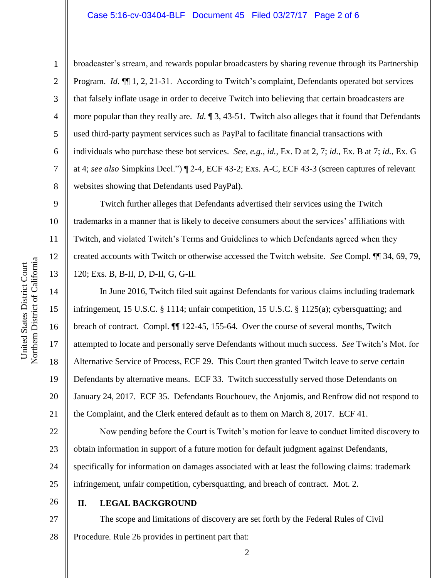## Case 5:16-cv-03404-BLF Document 45 Filed 03/27/17 Page 2 of 6

1

2

3

4

5

6

7

8

9

10

11

12

13

14

15

17

18

19

20

21

broadcaster's stream, and rewards popular broadcasters by sharing revenue through its Partnership Program. *Id.* ¶¶ 1, 2, 21-31. According to Twitch's complaint, Defendants operated bot services that falsely inflate usage in order to deceive Twitch into believing that certain broadcasters are more popular than they really are. *Id.* ¶ 3, 43-51. Twitch also alleges that it found that Defendants used third-party payment services such as PayPal to facilitate financial transactions with individuals who purchase these bot services. *See, e.g.*, *id.*, Ex. D at 2, 7; *id.*, Ex. B at 7; *id.*, Ex. G at 4; *see also* Simpkins Decl.") ¶ 2-4, ECF 43-2; Exs. A-C, ECF 43-3 (screen captures of relevant websites showing that Defendants used PayPal).

Twitch further alleges that Defendants advertised their services using the Twitch trademarks in a manner that is likely to deceive consumers about the services' affiliations with Twitch, and violated Twitch's Terms and Guidelines to which Defendants agreed when they created accounts with Twitch or otherwise accessed the Twitch website. *See* Compl. ¶¶ 34, 69, 79, 120; Exs. B, B-II, D, D-II, G, G-II.

16 In June 2016, Twitch filed suit against Defendants for various claims including trademark infringement, 15 U.S.C. § 1114; unfair competition, 15 U.S.C. § 1125(a); cybersquatting; and breach of contract. Compl. ¶¶ 122-45, 155-64. Over the course of several months, Twitch attempted to locate and personally serve Defendants without much success. *See* Twitch's Mot. for Alternative Service of Process, ECF 29. This Court then granted Twitch leave to serve certain Defendants by alternative means. ECF 33. Twitch successfully served those Defendants on January 24, 2017. ECF 35. Defendants Bouchouev, the Anjomis, and Renfrow did not respond to the Complaint, and the Clerk entered default as to them on March 8, 2017. ECF 41.

22 23 24 25 Now pending before the Court is Twitch's motion for leave to conduct limited discovery to obtain information in support of a future motion for default judgment against Defendants, specifically for information on damages associated with at least the following claims: trademark infringement, unfair competition, cybersquatting, and breach of contract. Mot. 2.

26

## **II. LEGAL BACKGROUND**

27 28 The scope and limitations of discovery are set forth by the Federal Rules of Civil Procedure. Rule 26 provides in pertinent part that: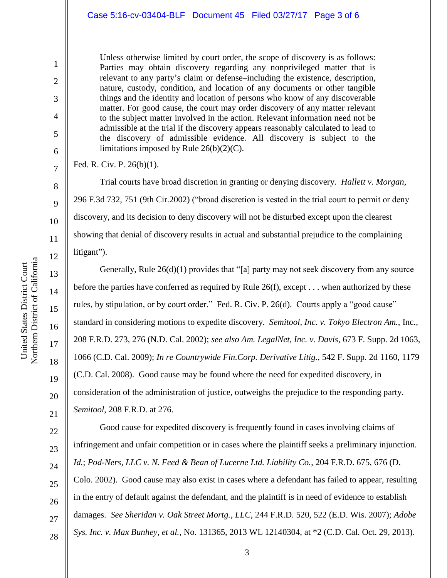Unless otherwise limited by court order, the scope of discovery is as follows: Parties may obtain discovery regarding any nonprivileged matter that is relevant to any party's claim or defense–including the existence, description, nature, custody, condition, and location of any documents or other tangible things and the identity and location of persons who know of any discoverable matter. For good cause, the court may order discovery of any matter relevant to the subject matter involved in the action. Relevant information need not be admissible at the trial if the discovery appears reasonably calculated to lead to the discovery of admissible evidence. All discovery is subject to the limitations imposed by Rule 26(b)(2)(C).

Fed. R. Civ. P. 26(b)(1).

Trial courts have broad discretion in granting or denying discovery. *Hallett v. Morgan,* 296 F.3d 732, 751 (9th Cir.2002) ("broad discretion is vested in the trial court to permit or deny discovery, and its decision to deny discovery will not be disturbed except upon the clearest showing that denial of discovery results in actual and substantial prejudice to the complaining litigant").

Generally, Rule 26(d)(1) provides that "[a] party may not seek discovery from any source before the parties have conferred as required by Rule 26(f), except . . . when authorized by these rules, by stipulation, or by court order." Fed. R. Civ. P. 26(d). Courts apply a "good cause" standard in considering motions to expedite discovery. *Semitool, Inc. v. Tokyo Electron Am.*, Inc., 208 F.R.D. 273, 276 (N.D. Cal. 2002); *see also Am. LegalNet, Inc. v. Davis*, 673 F. Supp. 2d 1063, 1066 (C.D. Cal. 2009); *In re Countrywide Fin.Corp. Derivative Litig.*, 542 F. Supp. 2d 1160, 1179 (C.D. Cal. 2008). Good cause may be found where the need for expedited discovery, in consideration of the administration of justice, outweighs the prejudice to the responding party. *Semitool*, 208 F.R.D. at 276.

Good cause for expedited discovery is frequently found in cases involving claims of infringement and unfair competition or in cases where the plaintiff seeks a preliminary injunction. *Id.*; *Pod-Ners, LLC v. N. Feed & Bean of Lucerne Ltd. Liability Co.*, 204 F.R.D. 675, 676 (D. Colo. 2002). Good cause may also exist in cases where a defendant has failed to appear, resulting in the entry of default against the defendant, and the plaintiff is in need of evidence to establish damages. *See Sheridan v. Oak Street Mortg., LLC*, 244 F.R.D. 520, 522 (E.D. Wis. 2007); *Adobe Sys. Inc. v. Max Bunhey, et al.*, No. 131365, 2013 WL 12140304, at \*2 (C.D. Cal. Oct. 29, 2013).

1

2

3

4

5

6

7

8

9

10

11

12

13

14

15

16

17

18

19

20

21

22

23

24

25

26

27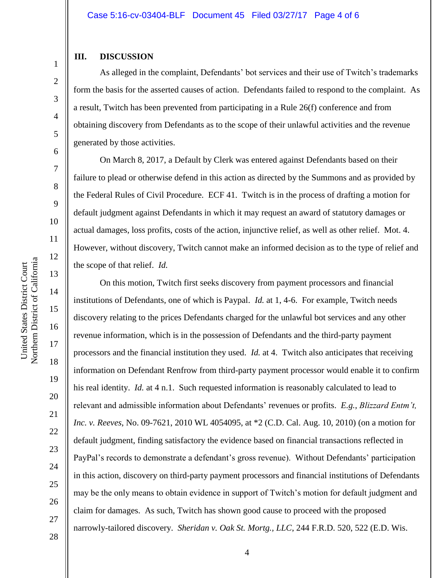## **III. DISCUSSION**

As alleged in the complaint, Defendants' bot services and their use of Twitch's trademarks form the basis for the asserted causes of action. Defendants failed to respond to the complaint. As a result, Twitch has been prevented from participating in a Rule 26(f) conference and from obtaining discovery from Defendants as to the scope of their unlawful activities and the revenue generated by those activities.

On March 8, 2017, a Default by Clerk was entered against Defendants based on their failure to plead or otherwise defend in this action as directed by the Summons and as provided by the Federal Rules of Civil Procedure. ECF 41. Twitch is in the process of drafting a motion for default judgment against Defendants in which it may request an award of statutory damages or actual damages, loss profits, costs of the action, injunctive relief, as well as other relief. Mot. 4. However, without discovery, Twitch cannot make an informed decision as to the type of relief and the scope of that relief. *Id.*

On this motion, Twitch first seeks discovery from payment processors and financial institutions of Defendants, one of which is Paypal. *Id.* at 1, 4-6. For example, Twitch needs discovery relating to the prices Defendants charged for the unlawful bot services and any other revenue information, which is in the possession of Defendants and the third-party payment processors and the financial institution they used. *Id.* at 4. Twitch also anticipates that receiving information on Defendant Renfrow from third-party payment processor would enable it to confirm his real identity. *Id.* at 4 n.1. Such requested information is reasonably calculated to lead to relevant and admissible information about Defendants' revenues or profits. *E.g.*, *Blizzard Entm't, Inc. v. Reeves*, No. 09-7621, 2010 WL 4054095, at \*2 (C.D. Cal. Aug. 10, 2010) (on a motion for default judgment, finding satisfactory the evidence based on financial transactions reflected in PayPal's records to demonstrate a defendant's gross revenue). Without Defendants' participation in this action, discovery on third-party payment processors and financial institutions of Defendants may be the only means to obtain evidence in support of Twitch's motion for default judgment and claim for damages. As such, Twitch has shown good cause to proceed with the proposed narrowly-tailored discovery. *Sheridan v. Oak St. Mortg., LLC*, 244 F.R.D. 520, 522 (E.D. Wis.

United States District Court

Northern District of California United States District Court

1

2

3

28

20

21

22

23

24

25

26

27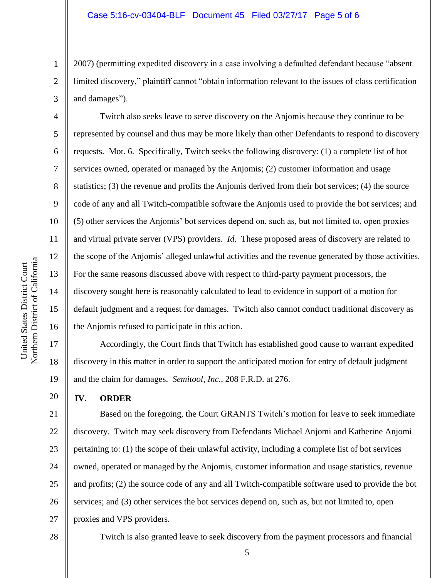2007) (permitting expedited discovery in a case involving a defaulted defendant because "absent limited discovery," plaintiff cannot "obtain information relevant to the issues of class certification and damages").

Twitch also seeks leave to serve discovery on the Anjomis because they continue to be represented by counsel and thus may be more likely than other Defendants to respond to discovery requests. Mot. 6. Specifically, Twitch seeks the following discovery: (1) a complete list of bot services owned, operated or managed by the Anjomis; (2) customer information and usage statistics; (3) the revenue and profits the Anjomis derived from their bot services; (4) the source code of any and all Twitch-compatible software the Anjomis used to provide the bot services; and (5) other services the Anjomis' bot services depend on, such as, but not limited to, open proxies and virtual private server (VPS) providers. *Id.* These proposed areas of discovery are related to the scope of the Anjomis' alleged unlawful activities and the revenue generated by those activities. For the same reasons discussed above with respect to third-party payment processors, the discovery sought here is reasonably calculated to lead to evidence in support of a motion for default judgment and a request for damages. Twitch also cannot conduct traditional discovery as the Anjomis refused to participate in this action.

17 18 19 Accordingly, the Court finds that Twitch has established good cause to warrant expedited discovery in this matter in order to support the anticipated motion for entry of default judgment and the claim for damages. *Semitool, Inc.*, 208 F.R.D. at 276.

**IV. ORDER**

21 22 23 24 25 26 27 Based on the foregoing, the Court GRANTS Twitch's motion for leave to seek immediate discovery. Twitch may seek discovery from Defendants Michael Anjomi and Katherine Anjomi pertaining to: (1) the scope of their unlawful activity, including a complete list of bot services owned, operated or managed by the Anjomis, customer information and usage statistics, revenue and profits; (2) the source code of any and all Twitch-compatible software used to provide the bot services; and (3) other services the bot services depend on, such as, but not limited to, open proxies and VPS providers.

28

Twitch is also granted leave to seek discovery from the payment processors and financial

5

1

2

3

4

5

6

7

8

9

10

11

12

13

14

15

16